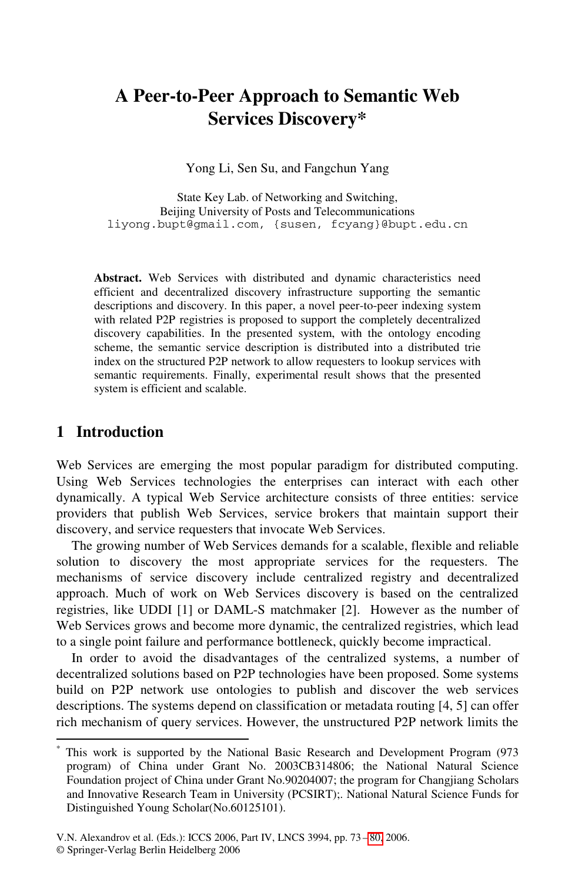# **A Peer-to-Peer Approach to Semantic Web Services Discovery\***

Yong Li, Sen Su, and Fangchun Yang

State Key Lab. of Networking and Switching, Beijing University of Posts and Telecommunications liyong.bupt@gmail.com, {susen, fcyang}@bupt.edu.cn

**Abstract.** Web Services with distributed and dynamic characteristics need efficient and decentralized discovery infrastructure supporting the semantic descriptions and discovery. In this paper, a novel peer-to-peer indexing system with related P2P registries is proposed to support the completely decentralized discovery capabilities. In the presented system, with the ontology encoding scheme, the semantic service description is distributed into a distributed trie index on the structured P2P network to allow requesters to lookup services with semantic requirements. Finally, experimental result shows that the presented system is efficient and scalable.

# **1 Introduction**

-

Web Services are emerging the most popular paradigm for distributed computing. Using Web Services technologies the enterprises can interact with each other dynamically. A typical Web Service architecture consists of three entities: service providers that publish Web Services, service brokers that maintain support their discovery, and service requesters that invocate Web Services.

The growing number of Web Services demands for a scalable, flexible and reliable solution to discovery the most appropriate services for the requesters. The mechanisms of service discovery include centralized registry and decentralized approach. Much of work on Web Services discovery is based on the centralized registries, like UDDI [1] or DAML-S matchmaker [2]. However as the number of Web Services grows and become more dynamic, the centralized registries, which lead to a single point failure and performance bottleneck, quickly become impractical.

In order to avoid the disadvantages of the centralized systems, a number of decentralized solutions based on P2P technologies have been proposed. Some systems build on P2P network use ontologies to publish and discover the web services descriptions. The systems depend on classification or metadata routing [4, 5] can offer rich mechanism of query services. However, the unstructured P2P network limits the

<sup>\*</sup> This work is supported by the National Basic Research and Development Program (973 program) of China under Grant No. 2003CB314806; the National Natural Science Foundation project of China under Grant No.90204007; the program for Changjiang Scholars and Innovative Research Team in University (PCSIRT);. National Natural Science Funds for Distinguished Young Scholar(No.60125101).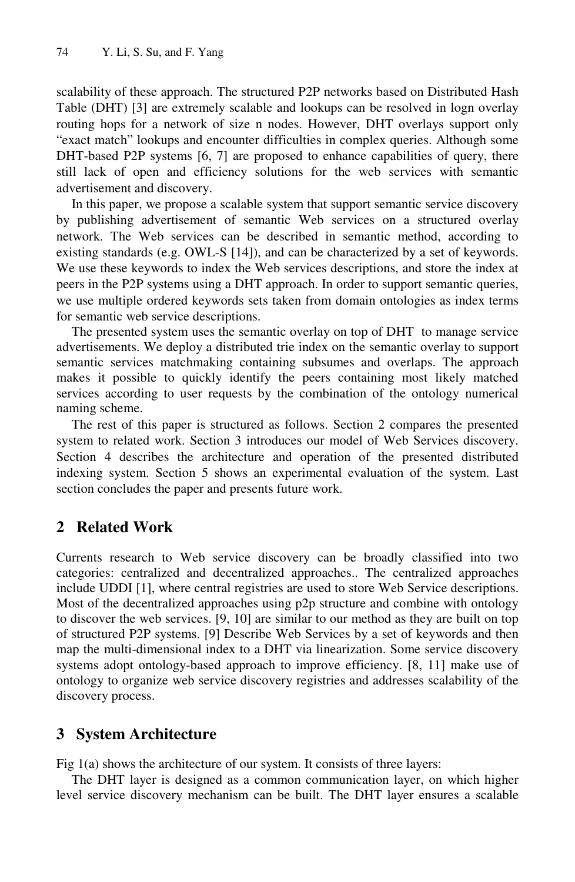scalability of these approach. The structured P2P networks based on Distributed Hash Table (DHT) [3] are extremely scalable and lookups can be resolved in logn overlay routing hops for a network of size n nodes. However, DHT overlays support only "exact match" lookups and encounter difficulties in complex queries. Although some DHT-based P2P systems [6, 7] are proposed to enhance capabilities of query, there still lack of open and efficiency solutions for the web services with semantic advertisement and discovery.

In this paper, we propose a scalable system that support semantic service discovery by publishing advertisement of semantic Web services on a structured overlay network. The Web services can be described in semantic method, according to existing standards (e.g. OWL-S [14]), and can be characterized by a set of keywords. We use these keywords to index the Web services descriptions, and store the index at peers in the P2P systems using a DHT approach. In order to support semantic queries, we use multiple ordered keywords sets taken from domain ontologies as index terms for semantic web service descriptions.

The presented system uses the semantic overlay on top of DHT to manage service advertisements. We deploy a distributed trie index on the semantic overlay to support semantic services matchmaking containing subsumes and overlaps. The approach makes it possible to quickly identify the peers containing most likely matched services according to user requests by the combination of the ontology numerical naming scheme.

The rest of this paper is structured as follows. Section 2 compares the presented system to related work. Section 3 introduces our model of Web Services discovery. Section 4 describes the architecture and operation of the presented distributed indexing system. Section 5 shows an experimental evaluation of the system. Last section concludes the paper and presents future work.

# **2 Related Work**

Currents research to Web service discovery can be broadly classified into two categories: centralized and decentralized approaches.. The centralized approaches include UDDI [1], where central registries are used to store Web Service descriptions. Most of the decentralized approaches using p2p structure and combine with ontology to discover the web services. [9, 10] are similar to our method as they are built on top of structured P2P systems. [9] Describe Web Services by a set of keywords and then map the multi-dimensional index to a DHT via linearization. Some service discovery systems adopt ontology-based approach to improve efficiency. [8, 11] make use of ontology to organize web service discovery registries and addresses scalability of the discovery process.

# **3 System Architecture**

Fig 1(a) shows the architecture of our system. It consists of three layers:

The DHT layer is designed as a common communication layer, on which higher level service discovery mechanism can be built. The DHT layer ensures a scalable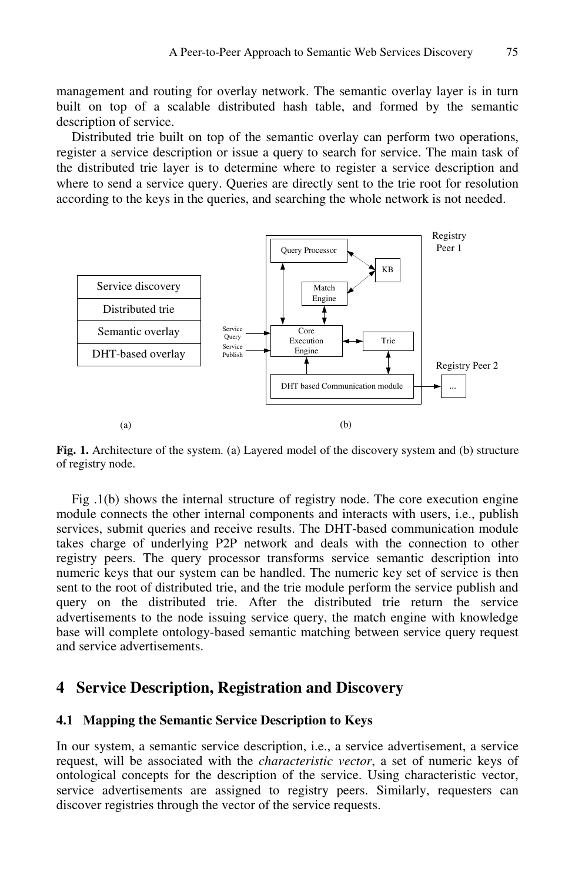management and routing for overlay network. The semantic overlay layer is in turn built on top of a scalable distributed hash table, and formed by the semantic description of service.

Distributed trie built on top of the semantic overlay can perform two operations, register a service description or issue a query to search for service. The main task of the distributed trie layer is to determine where to register a service description and where to send a service query. Queries are directly sent to the trie root for resolution according to the keys in the queries, and searching the whole network is not needed.



Fig. 1. Architecture of the system. (a) Layered model of the discovery system and (b) structure of registry node.

Fig .1(b) shows the internal structure of registry node. The core execution engine module connects the other internal components and interacts with users, i.e., publish services, submit queries and receive results. The DHT-based communication module takes charge of underlying P2P network and deals with the connection to other registry peers. The query processor transforms service semantic description into numeric keys that our system can be handled. The numeric key set of service is then sent to the root of distributed trie, and the trie module perform the service publish and query on the distributed trie. After the distributed trie return the service advertisements to the node issuing service query, the match engine with knowledge base will complete ontology-based semantic matching between service query request and service advertisements.

### **4 Service Description, Registration and Discovery**

#### **4.1 Mapping the Semantic Service Description to Keys**

In our system, a semantic service description, i.e., a service advertisement, a service request, will be associated with the *characteristic vector*, a set of numeric keys of ontological concepts for the description of the service. Using characteristic vector, service advertisements are assigned to registry peers. Similarly, requesters can discover registries through the vector of the service requests.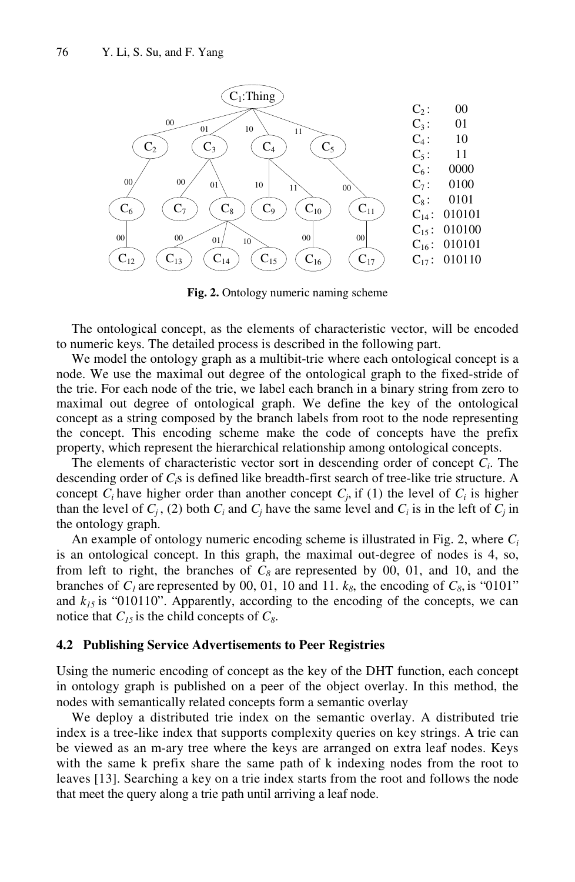

**Fig. 2.** Ontology numeric naming scheme

The ontological concept, as the elements of characteristic vector, will be encoded to numeric keys. The detailed process is described in the following part.

We model the ontology graph as a multibit-trie where each ontological concept is a node. We use the maximal out degree of the ontological graph to the fixed-stride of the trie. For each node of the trie, we label each branch in a binary string from zero to maximal out degree of ontological graph. We define the key of the ontological concept as a string composed by the branch labels from root to the node representing the concept. This encoding scheme make the code of concepts have the prefix property, which represent the hierarchical relationship among ontological concepts.

The elements of characteristic vector sort in descending order of concept *Ci*. The descending order of *Ci*s is defined like breadth-first search of tree-like trie structure. A concept  $C_i$  have higher order than another concept  $C_j$ , if (1) the level of  $C_i$  is higher than the level of  $C_i$ , (2) both  $C_i$  and  $C_j$  have the same level and  $C_i$  is in the left of  $C_j$  in the ontology graph.

An example of ontology numeric encoding scheme is illustrated in Fig. 2, where *Ci* is an ontological concept. In this graph, the maximal out-degree of nodes is 4, so, from left to right, the branches of  $C_8$  are represented by 00, 01, and 10, and the branches of  $C_1$  are represented by 00, 01, 10 and 11.  $k_8$ , the encoding of  $C_8$ , is "0101" and  $k_{15}$  is "010110". Apparently, according to the encoding of the concepts, we can notice that  $C_{15}$  is the child concepts of  $C_8$ .

#### **4.2 Publishing Service Advertisements to Peer Registries**

Using the numeric encoding of concept as the key of the DHT function, each concept in ontology graph is published on a peer of the object overlay. In this method, the nodes with semantically related concepts form a semantic overlay

We deploy a distributed trie index on the semantic overlay. A distributed trie index is a tree-like index that supports complexity queries on key strings. A trie can be viewed as an m-ary tree where the keys are arranged on extra leaf nodes. Keys with the same k prefix share the same path of k indexing nodes from the root to leaves [13]. Searching a key on a trie index starts from the root and follows the node that meet the query along a trie path until arriving a leaf node.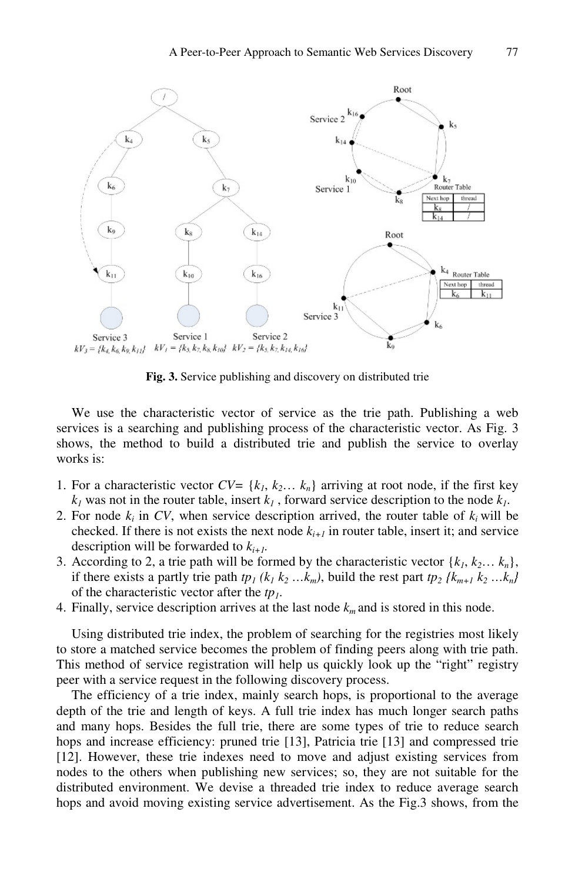

**Fig. 3.** Service publishing and discovery on distributed trie

We use the characteristic vector of service as the trie path. Publishing a web services is a searching and publishing process of the characteristic vector. As Fig. 3 shows, the method to build a distributed trie and publish the service to overlay works is:

- 1. For a characteristic vector  $CV = \{k_1, k_2, \ldots, k_n\}$  arriving at root node, if the first key  $k_l$  was not in the router table, insert  $k_l$ , forward service description to the node  $k_l$ .
- 2. For node  $k_i$  in CV, when service description arrived, the router table of  $k_i$  will be checked. If there is not exists the next node  $k_{i+1}$  in router table, insert it; and service description will be forwarded to  $k_{i+1}$ .
- 3. According to 2, a trie path will be formed by the characteristic vector  $\{k_1, k_2, \ldots, k_n\}$ , if there exists a partly trie path  $tp_1 (k_1 k_2 ... k_m)$ , build the rest part  $tp_2 (k_{m+1} k_2 ... k_n)$ of the characteristic vector after the *tp1*.
- 4. Finally, service description arrives at the last node *km* and is stored in this node.

Using distributed trie index, the problem of searching for the registries most likely to store a matched service becomes the problem of finding peers along with trie path. This method of service registration will help us quickly look up the "right" registry peer with a service request in the following discovery process.

The efficiency of a trie index, mainly search hops, is proportional to the average depth of the trie and length of keys. A full trie index has much longer search paths and many hops. Besides the full trie, there are some types of trie to reduce search hops and increase efficiency: pruned trie [13], Patricia trie [13] and compressed trie [12]. However, these trie indexes need to move and adjust existing services from nodes to the others when publishing new services; so, they are not suitable for the distributed environment. We devise a threaded trie index to reduce average search hops and avoid moving existing service advertisement. As the Fig.3 shows, from the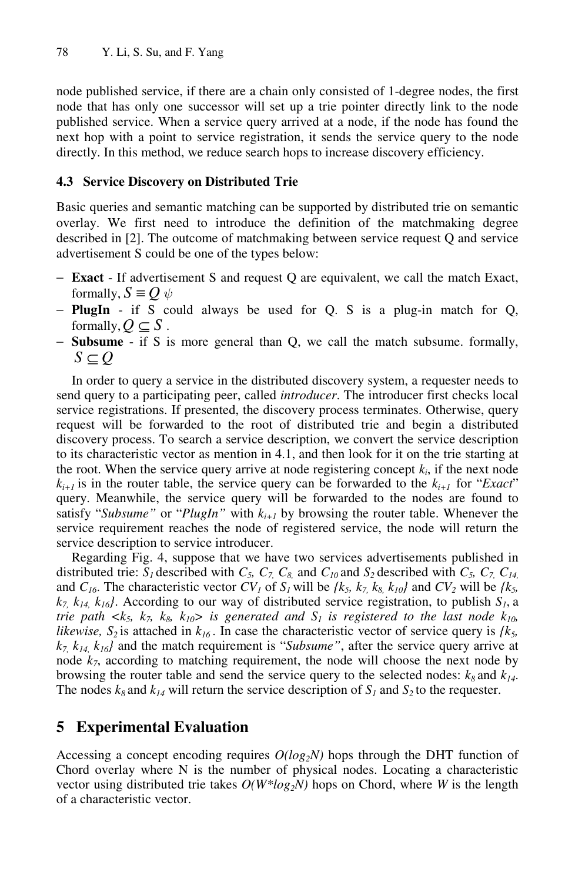node published service, if there are a chain only consisted of 1-degree nodes, the first node that has only one successor will set up a trie pointer directly link to the node published service. When a service query arrived at a node, if the node has found the next hop with a point to service registration, it sends the service query to the node directly. In this method, we reduce search hops to increase discovery efficiency.

### **4.3 Service Discovery on Distributed Trie**

Basic queries and semantic matching can be supported by distributed trie on semantic overlay. We first need to introduce the definition of the matchmaking degree described in [2]. The outcome of matchmaking between service request Q and service advertisement S could be one of the types below:

- − **Exact** If advertisement S and request Q are equivalent, we call the match Exact, formally,  $S \equiv Q \psi$
- − **PlugIn** if S could always be used for Q. S is a plug-in match for Q, formally,  $O \subset S$ .
- − **Subsume** if S is more general than Q, we call the match subsume. formally,  $S \subset O$

In order to query a service in the distributed discovery system, a requester needs to send query to a participating peer, called *introducer*. The introducer first checks local service registrations. If presented, the discovery process terminates. Otherwise, query request will be forwarded to the root of distributed trie and begin a distributed discovery process. To search a service description, we convert the service description to its characteristic vector as mention in 4.1, and then look for it on the trie starting at the root. When the service query arrive at node registering concept  $k_i$ , if the next node  $k_{i+1}$  is in the router table, the service query can be forwarded to the  $k_{i+1}$  for "*Exact*" query. Meanwhile, the service query will be forwarded to the nodes are found to satisfy "*Subsume*" or "*PlugIn*" with  $k_{i+1}$  by browsing the router table. Whenever the service requirement reaches the node of registered service, the node will return the service description to service introducer.

Regarding Fig. 4, suppose that we have two services advertisements published in distributed trie:  $S_1$  described with  $C_5$ ,  $C_7$ ,  $C_8$ , and  $C_{10}$  and  $S_2$  described with  $C_5$ ,  $C_7$ ,  $C_{14}$ , and  $C_{16}$ . The characteristic vector  $CV_1$  of  $S_1$  will be  $\{k_5, k_7, k_8, k_{10}\}$  and  $CV_2$  will be  $\{k_5, k_6, k_7, k_8, k_{10}\}$  $k_7$ ,  $k_{14}$ ,  $k_{16}$ ). According to our way of distributed service registration, to publish  $S_1$ , a *trie path*  $\langle k_5, k_7, k_8, k_{10} \rangle$  *is generated and*  $S_1$  *is registered to the last node*  $k_{10}$ , *likewise,*  $S_2$  is attached in  $k_{16}$ . In case the characteristic vector of service query is  $/k_5$ . *k7, k14, k16}* and the match requirement is "*Subsume"*, after the service query arrive at node  $k_7$ , according to matching requirement, the node will choose the next node by browsing the router table and send the service query to the selected nodes:  $k_8$  and  $k_{14}$ . The nodes  $k_8$  and  $k_{14}$  will return the service description of  $S_1$  and  $S_2$  to the requester.

## **5 Experimental Evaluation**

Accessing a concept encoding requires  $O(log_2N)$  hops through the DHT function of Chord overlay where N is the number of physical nodes. Locating a characteristic vector using distributed trie takes  $O(W^*log_2N)$  hops on Chord, where *W* is the length of a characteristic vector.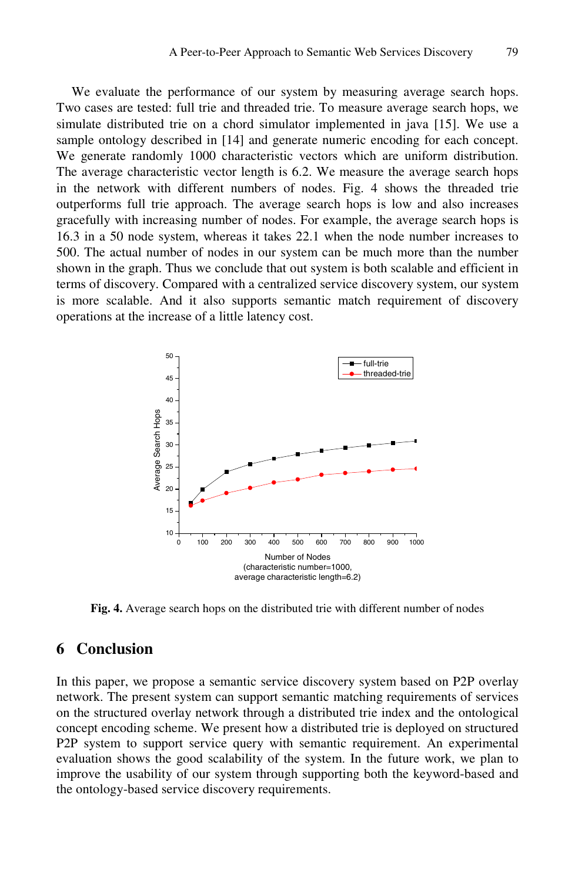We evaluate the performance of our system by measuring average search hops. Two cases are tested: full trie and threaded trie. To measure average search hops, we simulate distributed trie on a chord simulator implemented in java [15]. We use a sample ontology described in [14] and generate numeric encoding for each concept. We generate randomly 1000 characteristic vectors which are uniform distribution. The average characteristic vector length is 6.2. We measure the average search hops in the network with different numbers of nodes. Fig. 4 shows the threaded trie outperforms full trie approach. The average search hops is low and also increases gracefully with increasing number of nodes. For example, the average search hops is 16.3 in a 50 node system, whereas it takes 22.1 when the node number increases to 500. The actual number of nodes in our system can be much more than the number shown in the graph. Thus we conclude that out system is both scalable and efficient in terms of discovery. Compared with a centralized service discovery system, our system is more scalable. And it also supports semantic match requirement of discovery operations at the increase of a little latency cost.



**Fig. 4.** Average search hops on the distributed trie with different number of nodes

### **6 Conclusion**

In this paper, we propose a semantic service discovery system based on P2P overlay network. The present system can support semantic matching requirements of services on the structured overlay network through a distributed trie index and the ontological concept encoding scheme. We present how a distributed trie is deployed on structured P2P system to support service query with semantic requirement. An experimental evaluation shows the good scalability of the system. In the future work, we plan to improve the usability of our system through supporting both the keyword-based and the ontology-based service discovery requirements.